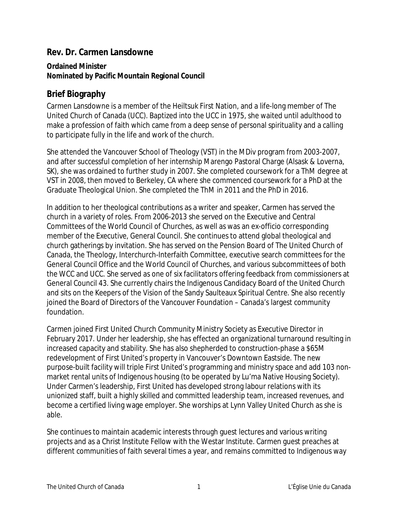## **Rev. Dr. Carmen Lansdowne**

## **Ordained Minister Nominated by Pacific Mountain Regional Council**

## **Brief Biography**

Carmen Lansdowne is a member of the Heiltsuk First Nation, and a life-long member of The United Church of Canada (UCC). Baptized into the UCC in 1975, she waited until adulthood to make a profession of faith which came from a deep sense of personal spirituality and a calling to participate fully in the life and work of the church.

She attended the Vancouver School of Theology (VST) in the MDiv program from 2003-2007, and after successful completion of her internship Marengo Pastoral Charge (Alsask & Loverna, SK), she was ordained to further study in 2007. She completed coursework for a ThM degree at VST in 2008, then moved to Berkeley, CA where she commenced coursework for a PhD at the Graduate Theological Union. She completed the ThM in 2011 and the PhD in 2016.

In addition to her theological contributions as a writer and speaker, Carmen has served the church in a variety of roles. From 2006-2013 she served on the Executive and Central Committees of the World Council of Churches, as well as was an ex-officio corresponding member of the Executive, General Council. She continues to attend global theological and church gatherings by invitation. She has served on the Pension Board of The United Church of Canada, the Theology, Interchurch-Interfaith Committee, executive search committees for the General Council Office and the World Council of Churches, and various subcommittees of both the WCC and UCC. She served as one of six facilitators offering feedback from commissioners at General Council 43. She currently chairs the Indigenous Candidacy Board of the United Church and sits on the Keepers of the Vision of the Sandy Saulteaux Spiritual Centre. She also recently joined the Board of Directors of the Vancouver Foundation – Canada's largest community foundation.

Carmen joined First United Church Community Ministry Society as Executive Director in February 2017. Under her leadership, she has effected an organizational turnaround resulting in increased capacity and stability. She has also shepherded to construction-phase a \$65M redevelopment of First United's property in Vancouver's Downtown Eastside. The new purpose-built facility will triple First United's programming and ministry space and add 103 nonmarket rental units of Indigenous housing (to be operated by Lu'ma Native Housing Society). Under Carmen's leadership, First United has developed strong labour relations with its unionized staff, built a highly skilled and committed leadership team, increased revenues, and become a certified living wage employer. She worships at Lynn Valley United Church as she is able.

She continues to maintain academic interests through guest lectures and various writing projects and as a Christ Institute Fellow with the Westar Institute. Carmen guest preaches at different communities of faith several times a year, and remains committed to Indigenous way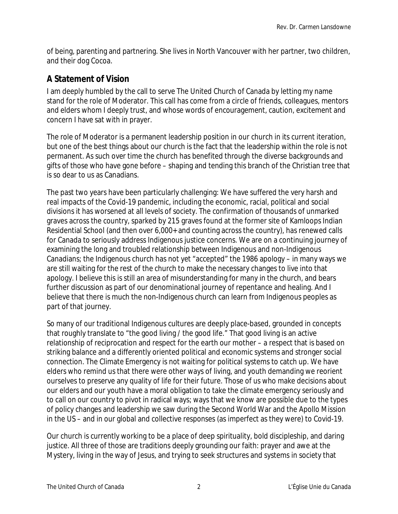of being, parenting and partnering. She lives in North Vancouver with her partner, two children, and their dog Cocoa.

## **A Statement of Vision**

I am deeply humbled by the call to serve The United Church of Canada by letting my name stand for the role of Moderator. This call has come from a circle of friends, colleagues, mentors and elders whom I deeply trust, and whose words of encouragement, caution, excitement and concern I have sat with in prayer.

The role of Moderator is a permanent leadership position in our church in its current iteration, but one of the best things about our church is the fact that the leadership within the role is not permanent. As such over time the church has benefited through the diverse backgrounds and gifts of those who have gone before – shaping and tending this branch of the Christian tree that is so dear to us as Canadians.

The past two years have been particularly challenging: We have suffered the very harsh and real impacts of the Covid-19 pandemic, including the economic, racial, political and social divisions it has worsened at all levels of society. The confirmation of thousands of unmarked graves across the country, sparked by 215 graves found at the former site of Kamloops Indian Residential School (and then over 6,000+ and counting across the country), has renewed calls for Canada to seriously address Indigenous justice concerns. We are on a continuing journey of examining the long and troubled relationship between Indigenous and non-Indigenous Canadians; the Indigenous church has not yet "accepted" the 1986 apology – in many ways we are still waiting for the rest of the church to make the necessary changes to live into that apology. I believe this is still an area of misunderstanding for many in the church, and bears further discussion as part of our denominational journey of repentance and healing. And I believe that there is much the non-Indigenous church can learn from Indigenous peoples as part of that journey.

So many of our traditional Indigenous cultures are deeply place-based, grounded in concepts that roughly translate to "the good living / the good life." That good living is an active relationship of reciprocation and respect for the earth our mother – a respect that is based on striking balance and a differently oriented political and economic systems and stronger social connection. The Climate Emergency is not waiting for political systems to catch up. We have elders who remind us that there were other ways of living, and youth demanding we reorient ourselves to preserve any quality of life for their future. Those of us who make decisions about our elders and our youth have a moral obligation to take the climate emergency seriously and to call on our country to pivot in radical ways; ways that we know are possible due to the types of policy changes and leadership we saw during the Second World War and the Apollo Mission in the US – and in our global and collective responses (as imperfect as they were) to Covid-19.

Our church is currently working to be a place of deep spirituality, bold discipleship, and daring justice. All three of those are traditions deeply grounding our faith: prayer and awe at the Mystery, living in the way of Jesus, and trying to seek structures and systems in society that